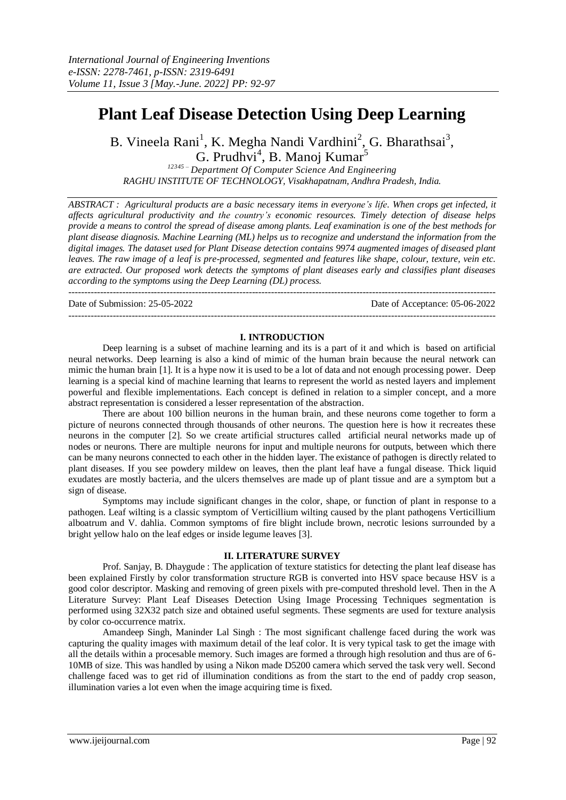# **Plant Leaf Disease Detection Using Deep Learning**

B. Vineela Rani<sup>1</sup>, K. Megha Nandi Vardhini<sup>2</sup>, G. Bharathsai<sup>3</sup>,

G. Prudhvi<sup>4</sup>, B. Manoj Kumar<sup>5</sup> *<sup>12345</sup> – Department Of Computer Science And Engineering RAGHU INSTITUTE OF TECHNOLOGY, Visakhapatnam, Andhra Pradesh, India.*

*ABSTRACT : Agricultural products are a basic necessary items in everyone's life. When crops get infected, it affects agricultural productivity and the country's economic resources. Timely detection of disease helps provide a means to control the spread of disease among plants. Leaf examination is one of the best methods for plant disease diagnosis. Machine Learning (ML) helps us to recognize and understand the information from the digital images. The dataset used for Plant Disease detection contains 9974 augmented images of diseased plant leaves. The raw image of a leaf is pre-processed, segmented and features like shape, colour, texture, vein etc. are extracted. Our proposed work detects the symptoms of plant diseases early and classifies plant diseases according to the symptoms using the Deep Learning (DL) process.*

---------------------------------------------------------------------------------------------------------------------------------------

Date of Submission: 25-05-2022 Date of Acceptance: 05-06-2022

### **I. INTRODUCTION**

---------------------------------------------------------------------------------------------------------------------------------------

Deep learning is a subset of machine learning and its is a part of it and which is based on artificial neural networks. Deep learning is also a kind of mimic of the human brain because the neural network can mimic the human brain [1]. It is a hype now it is used to be a lot of data and not enough processing power. Deep learning is a special kind of machine learning that learns to represent the world as nested layers and implement powerful and flexible implementations. Each concept is defined in relation to a simpler concept, and a more abstract representation is considered a lesser representation of the abstraction.

There are about 100 billion neurons in the human brain, and these neurons come together to form a picture of neurons connected through thousands of other neurons. The question here is how it recreates these neurons in the computer [2]. So we create artificial structures called artificial neural networks made up of nodes or neurons. There are multiple neurons for input and multiple neurons for outputs, between which there can be many neurons connected to each other in the hidden layer. The existance of pathogen is directly related to plant diseases. If you see powdery mildew on leaves, then the plant leaf have a fungal disease. Thick liquid exudates are mostly bacteria, and the ulcers themselves are made up of plant tissue and are a symptom but a sign of disease.

Symptoms may include significant changes in the color, shape, or function of plant in response to a pathogen. Leaf wilting is a classic symptom of Verticillium wilting caused by the plant pathogens Verticillium alboatrum and V. dahlia. Common symptoms of fire blight include brown, necrotic lesions surrounded by a bright yellow halo on the leaf edges or inside legume leaves [3].

### **II. LITERATURE SURVEY**

Prof. Sanjay, B. Dhaygude : The application of texture statistics for detecting the plant leaf disease has been explained Firstly by color transformation structure RGB is converted into HSV space because HSV is a good color descriptor. Masking and removing of green pixels with pre-computed threshold level. Then in the A Literature Survey: Plant Leaf Diseases Detection Using Image Processing Techniques segmentation is performed using 32X32 patch size and obtained useful segments. These segments are used for texture analysis by color co-occurrence matrix.

Amandeep Singh, Maninder Lal Singh : The most significant challenge faced during the work was capturing the quality images with maximum detail of the leaf color. It is very typical task to get the image with all the details within a procesable memory. Such images are formed a through high resolution and thus are of 6- 10MB of size. This was handled by using a Nikon made D5200 camera which served the task very well. Second challenge faced was to get rid of illumination conditions as from the start to the end of paddy crop season, illumination varies a lot even when the image acquiring time is fixed.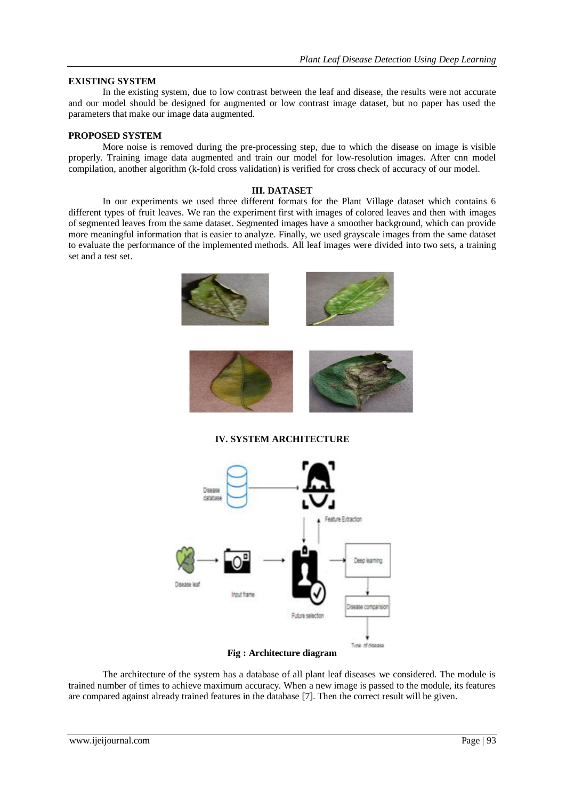## **EXISTING SYSTEM**

In the existing system, due to low contrast between the leaf and disease, the results were not accurate and our model should be designed for augmented or low contrast image dataset, but no paper has used the parameters that make our image data augmented.

### **PROPOSED SYSTEM**

More noise is removed during the pre-processing step, due to which the disease on image is visible properly. Training image data augmented and train our model for low-resolution images. After cnn model compilation, another algorithm (k-fold cross validation) is verified for cross check of accuracy of our model.

### **III. DATASET**

In our experiments we used three different formats for the Plant Village dataset which contains 6 different types of fruit leaves. We ran the experiment first with images of colored leaves and then with images of segmented leaves from the same dataset. Segmented images have a smoother background, which can provide more meaningful information that is easier to analyze. Finally, we used grayscale images from the same dataset to evaluate the performance of the implemented methods. All leaf images were divided into two sets, a training set and a test set.



**IV. SYSTEM ARCHITECTURE**



# **Fig : Architecture diagram**

The architecture of the system has a database of all plant leaf diseases we considered. The module is trained number of times to achieve maximum accuracy. When a new image is passed to the module, its features are compared against already trained features in the database [7]. Then the correct result will be given.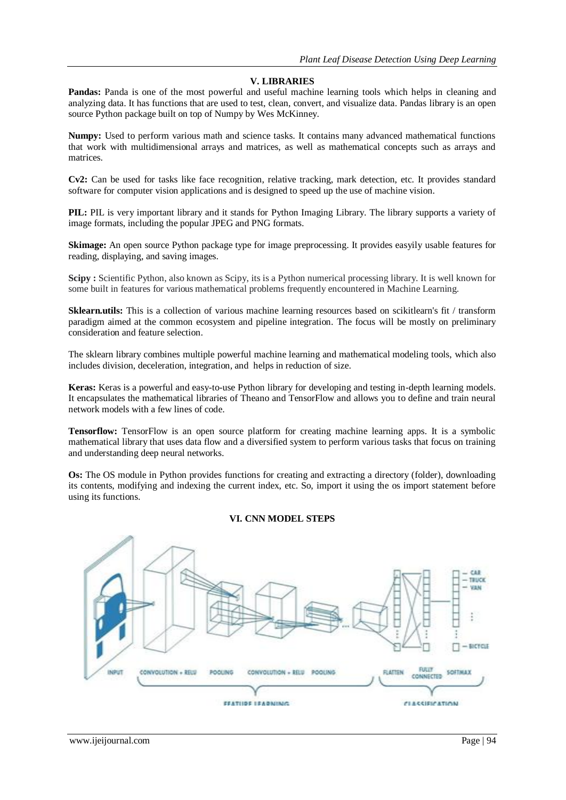# **V. LIBRARIES**

**Pandas:** Panda is one of the most powerful and useful machine learning tools which helps in cleaning and analyzing data. It has functions that are used to test, clean, convert, and visualize data. Pandas library is an open source Python package built on top of Numpy by Wes McKinney.

**Numpy:** Used to perform various math and science tasks. It contains many advanced mathematical functions that work with multidimensional arrays and matrices, as well as mathematical concepts such as arrays and matrices.

**Cv2:** Can be used for tasks like face recognition, relative tracking, mark detection, etc. It provides standard software for computer vision applications and is designed to speed up the use of machine vision.

**PIL:** PIL is very important library and it stands for Python Imaging Library. The library supports a variety of image formats, including the popular JPEG and PNG formats.

**Skimage:** An open source Python package type for image preprocessing. It provides easyily usable features for reading, displaying, and saving images.

**Scipy :** Scientific Python, also known as Scipy, its is a Python numerical processing library. It is well known for some built in features for various mathematical problems frequently encountered in Machine Learning.

**Sklearn.utils:** This is a collection of various machine learning resources based on scikitlearn's fit / transform paradigm aimed at the common ecosystem and pipeline integration. The focus will be mostly on preliminary consideration and feature selection.

The sklearn library combines multiple powerful machine learning and mathematical modeling tools, which also includes division, deceleration, integration, and helps in reduction of size.

**Keras:** Keras is a powerful and easy-to-use Python library for developing and testing in-depth learning models. It encapsulates the mathematical libraries of Theano and TensorFlow and allows you to define and train neural network models with a few lines of code.

**Tensorflow:** TensorFlow is an open source platform for creating machine learning apps. It is a symbolic mathematical library that uses data flow and a diversified system to perform various tasks that focus on training and understanding deep neural networks.

**Os:** The OS module in Python provides functions for creating and extracting a directory (folder), downloading its contents, modifying and indexing the current index, etc. So, import it using the os import statement before using its functions.

# **VI. CNN MODEL STEPS**

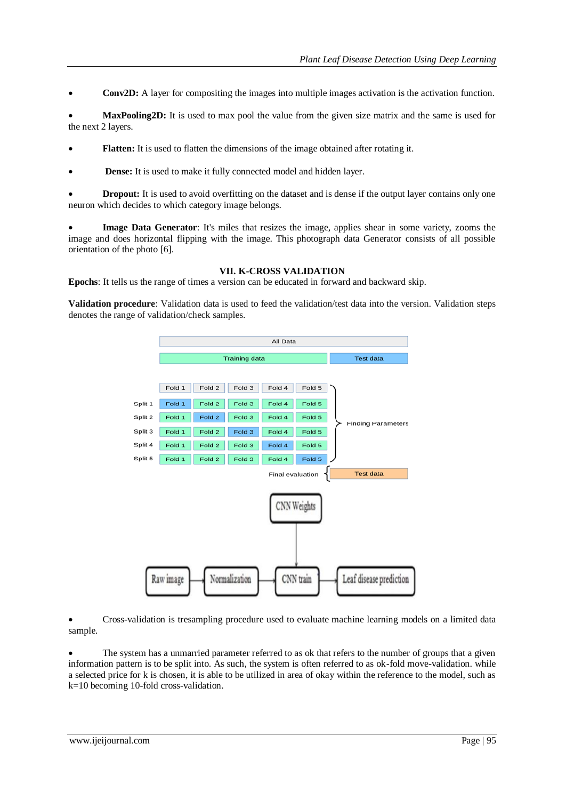**Conv2D:** A layer for compositing the images into multiple images activation is the activation function.

 **MaxPooling2D:** It is used to max pool the value from the given size matrix and the same is used for the next 2 layers.

- **Flatten:** It is used to flatten the dimensions of the image obtained after rotating it.
- **Dense:** It is used to make it fully connected model and hidden layer.

**Dropout:** It is used to avoid overfitting on the dataset and is dense if the output layer contains only one neuron which decides to which category image belongs.

 **Image Data Generator**: It's miles that resizes the image, applies shear in some variety, zooms the image and does horizontal flipping with the image. This photograph data Generator consists of all possible orientation of the photo [6].

### **VII. K-CROSS VALIDATION**

**Epochs**: It tells us the range of times a version can be educated in forward and backward skip.

**Validation procedure**: Validation data is used to feed the validation/test data into the version. Validation steps denotes the range of validation/check samples.



 Cross-validation is tresampling procedure used to evaluate machine learning models on a limited data sample.

 The system has a unmarried parameter referred to as ok that refers to the number of groups that a given information pattern is to be split into. As such, the system is often referred to as ok-fold move-validation. while a selected price for k is chosen, it is able to be utilized in area of okay within the reference to the model, such as k=10 becoming 10-fold cross-validation.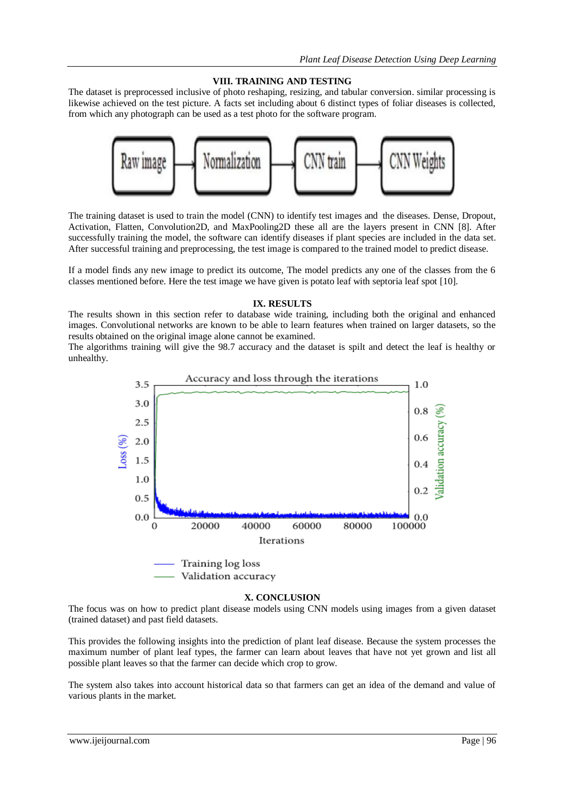# **VIII. TRAINING AND TESTING**

The dataset is preprocessed inclusive of photo reshaping, resizing, and tabular conversion. similar processing is likewise achieved on the test picture. A facts set including about 6 distinct types of foliar diseases is collected, from which any photograph can be used as a test photo for the software program.



The training dataset is used to train the model (CNN) to identify test images and the diseases. Dense, Dropout, Activation, Flatten, Convolution2D, and MaxPooling2D these all are the layers present in CNN [8]. After successfully training the model, the software can identify diseases if plant species are included in the data set. After successful training and preprocessing, the test image is compared to the trained model to predict disease.

If a model finds any new image to predict its outcome, The model predicts any one of the classes from the 6 classes mentioned before. Here the test image we have given is potato leaf with septoria leaf spot [10].

# **IX. RESULTS**

The results shown in this section refer to database wide training, including both the original and enhanced images. Convolutional networks are known to be able to learn features when trained on larger datasets, so the results obtained on the original image alone cannot be examined.

The algorithms training will give the 98.7 accuracy and the dataset is spilt and detect the leaf is healthy or unhealthy.



### **X. CONCLUSION**

The focus was on how to predict plant disease models using CNN models using images from a given dataset (trained dataset) and past field datasets.

This provides the following insights into the prediction of plant leaf disease. Because the system processes the maximum number of plant leaf types, the farmer can learn about leaves that have not yet grown and list all possible plant leaves so that the farmer can decide which crop to grow.

The system also takes into account historical data so that farmers can get an idea of the demand and value of various plants in the market.